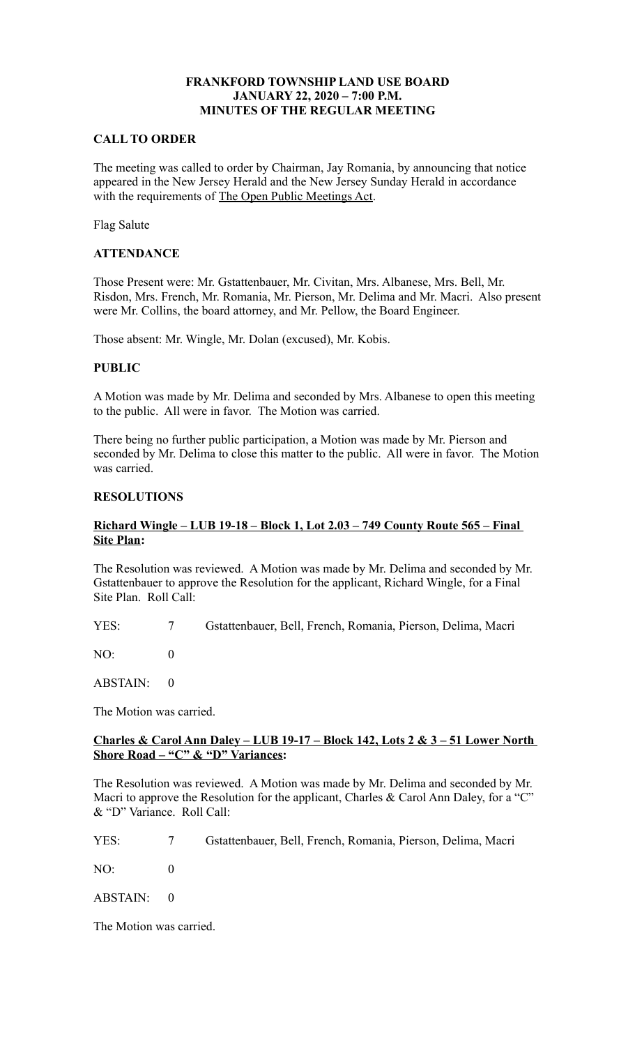# **FRANKFORD TOWNSHIP LAND USE BOARD JANUARY 22, 2020 – 7:00 P.M. MINUTES OF THE REGULAR MEETING**

#### **CALL TO ORDER**

The meeting was called to order by Chairman, Jay Romania, by announcing that notice appeared in the New Jersey Herald and the New Jersey Sunday Herald in accordance with the requirements of The Open Public Meetings Act.

Flag Salute

#### **ATTENDANCE**

Those Present were: Mr. Gstattenbauer, Mr. Civitan, Mrs. Albanese, Mrs. Bell, Mr. Risdon, Mrs. French, Mr. Romania, Mr. Pierson, Mr. Delima and Mr. Macri. Also present were Mr. Collins, the board attorney, and Mr. Pellow, the Board Engineer.

Those absent: Mr. Wingle, Mr. Dolan (excused), Mr. Kobis.

# **PUBLIC**

A Motion was made by Mr. Delima and seconded by Mrs. Albanese to open this meeting to the public. All were in favor. The Motion was carried.

There being no further public participation, a Motion was made by Mr. Pierson and seconded by Mr. Delima to close this matter to the public. All were in favor. The Motion was carried.

# **RESOLUTIONS**

# **Richard Wingle – LUB 19-18 – Block 1, Lot 2.03 – 749 County Route 565 – Final Site Plan:**

The Resolution was reviewed. A Motion was made by Mr. Delima and seconded by Mr. Gstattenbauer to approve the Resolution for the applicant, Richard Wingle, for a Final Site Plan. Roll Call:

YES: 7 Gstattenbauer, Bell, French, Romania, Pierson, Delima, Macri

 $NO<sup>2</sup>$  0

ABSTAIN: 0

The Motion was carried.

#### **Charles & Carol Ann Daley – LUB 19-17 – Block 142, Lots 2 & 3 – 51 Lower North Shore Road – "C" & "D" Variances:**

The Resolution was reviewed. A Motion was made by Mr. Delima and seconded by Mr. Macri to approve the Resolution for the applicant, Charles & Carol Ann Daley, for a "C" & "D" Variance. Roll Call:

YES: 7 Gstattenbauer, Bell, French, Romania, Pierson, Delima, Macri

 $NO: 0$ 

ABSTAIN: 0

The Motion was carried.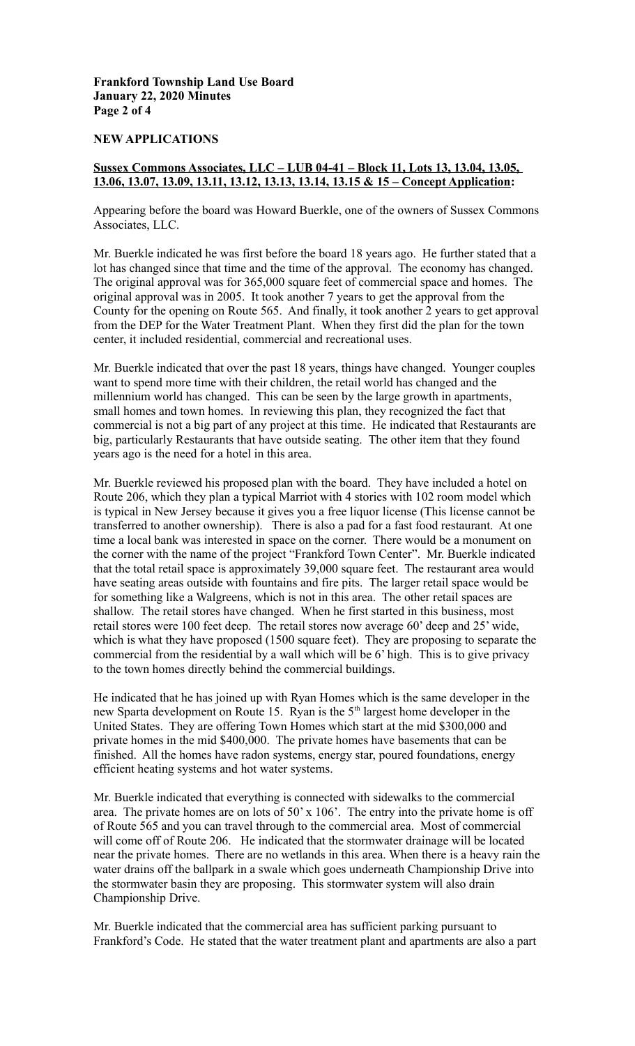# **Frankford Township Land Use Board January 22, 2020 Minutes Page 2 of 4**

#### **NEW APPLICATIONS**

# **Sussex Commons Associates, LLC – LUB 04-41 – Block 11, Lots 13, 13.04, 13.05, 13.06, 13.07, 13.09, 13.11, 13.12, 13.13, 13.14, 13.15 & 15 – Concept Application:**

Appearing before the board was Howard Buerkle, one of the owners of Sussex Commons Associates, LLC.

Mr. Buerkle indicated he was first before the board 18 years ago. He further stated that a lot has changed since that time and the time of the approval. The economy has changed. The original approval was for 365,000 square feet of commercial space and homes. The original approval was in 2005. It took another 7 years to get the approval from the County for the opening on Route 565. And finally, it took another 2 years to get approval from the DEP for the Water Treatment Plant. When they first did the plan for the town center, it included residential, commercial and recreational uses.

Mr. Buerkle indicated that over the past 18 years, things have changed. Younger couples want to spend more time with their children, the retail world has changed and the millennium world has changed. This can be seen by the large growth in apartments, small homes and town homes. In reviewing this plan, they recognized the fact that commercial is not a big part of any project at this time. He indicated that Restaurants are big, particularly Restaurants that have outside seating. The other item that they found years ago is the need for a hotel in this area.

Mr. Buerkle reviewed his proposed plan with the board. They have included a hotel on Route 206, which they plan a typical Marriot with 4 stories with 102 room model which is typical in New Jersey because it gives you a free liquor license (This license cannot be transferred to another ownership). There is also a pad for a fast food restaurant. At one time a local bank was interested in space on the corner. There would be a monument on the corner with the name of the project "Frankford Town Center". Mr. Buerkle indicated that the total retail space is approximately 39,000 square feet. The restaurant area would have seating areas outside with fountains and fire pits. The larger retail space would be for something like a Walgreens, which is not in this area. The other retail spaces are shallow. The retail stores have changed. When he first started in this business, most retail stores were 100 feet deep. The retail stores now average 60' deep and 25' wide, which is what they have proposed (1500 square feet). They are proposing to separate the commercial from the residential by a wall which will be 6' high. This is to give privacy to the town homes directly behind the commercial buildings.

He indicated that he has joined up with Ryan Homes which is the same developer in the new Sparta development on Route 15. Ryan is the 5<sup>th</sup> largest home developer in the United States. They are offering Town Homes which start at the mid \$300,000 and private homes in the mid \$400,000. The private homes have basements that can be finished. All the homes have radon systems, energy star, poured foundations, energy efficient heating systems and hot water systems.

Mr. Buerkle indicated that everything is connected with sidewalks to the commercial area. The private homes are on lots of 50' x 106'. The entry into the private home is off of Route 565 and you can travel through to the commercial area. Most of commercial will come off of Route 206. He indicated that the stormwater drainage will be located near the private homes. There are no wetlands in this area. When there is a heavy rain the water drains off the ballpark in a swale which goes underneath Championship Drive into the stormwater basin they are proposing. This stormwater system will also drain Championship Drive.

Mr. Buerkle indicated that the commercial area has sufficient parking pursuant to Frankford's Code. He stated that the water treatment plant and apartments are also a part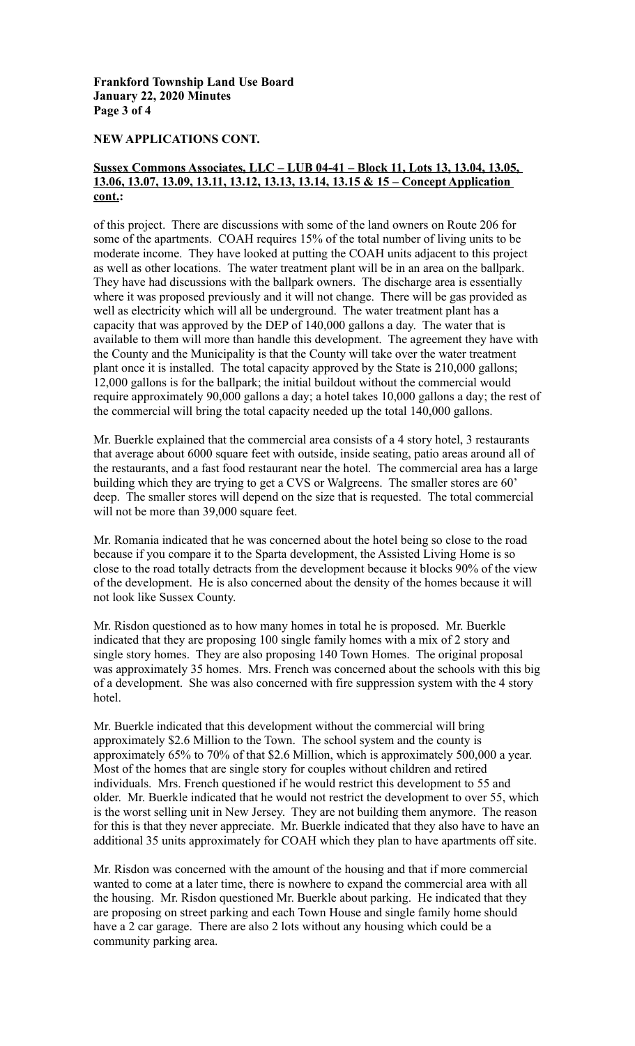## **Frankford Township Land Use Board January 22, 2020 Minutes Page 3 of 4**

# **NEW APPLICATIONS CONT.**

### **Sussex Commons Associates, LLC – LUB 04-41 – Block 11, Lots 13, 13.04, 13.05, 13.06, 13.07, 13.09, 13.11, 13.12, 13.13, 13.14, 13.15 & 15 – Concept Application cont.:**

of this project. There are discussions with some of the land owners on Route 206 for some of the apartments. COAH requires 15% of the total number of living units to be moderate income. They have looked at putting the COAH units adjacent to this project as well as other locations. The water treatment plant will be in an area on the ballpark. They have had discussions with the ballpark owners. The discharge area is essentially where it was proposed previously and it will not change. There will be gas provided as well as electricity which will all be underground. The water treatment plant has a capacity that was approved by the DEP of 140,000 gallons a day. The water that is available to them will more than handle this development. The agreement they have with the County and the Municipality is that the County will take over the water treatment plant once it is installed. The total capacity approved by the State is 210,000 gallons; 12,000 gallons is for the ballpark; the initial buildout without the commercial would require approximately 90,000 gallons a day; a hotel takes 10,000 gallons a day; the rest of the commercial will bring the total capacity needed up the total 140,000 gallons.

Mr. Buerkle explained that the commercial area consists of a 4 story hotel, 3 restaurants that average about 6000 square feet with outside, inside seating, patio areas around all of the restaurants, and a fast food restaurant near the hotel. The commercial area has a large building which they are trying to get a CVS or Walgreens. The smaller stores are 60' deep. The smaller stores will depend on the size that is requested. The total commercial will not be more than 39,000 square feet.

Mr. Romania indicated that he was concerned about the hotel being so close to the road because if you compare it to the Sparta development, the Assisted Living Home is so close to the road totally detracts from the development because it blocks 90% of the view of the development. He is also concerned about the density of the homes because it will not look like Sussex County.

Mr. Risdon questioned as to how many homes in total he is proposed. Mr. Buerkle indicated that they are proposing 100 single family homes with a mix of 2 story and single story homes. They are also proposing 140 Town Homes. The original proposal was approximately 35 homes. Mrs. French was concerned about the schools with this big of a development. She was also concerned with fire suppression system with the 4 story hotel.

Mr. Buerkle indicated that this development without the commercial will bring approximately \$2.6 Million to the Town. The school system and the county is approximately 65% to 70% of that \$2.6 Million, which is approximately 500,000 a year. Most of the homes that are single story for couples without children and retired individuals. Mrs. French questioned if he would restrict this development to 55 and older. Mr. Buerkle indicated that he would not restrict the development to over 55, which is the worst selling unit in New Jersey. They are not building them anymore. The reason for this is that they never appreciate. Mr. Buerkle indicated that they also have to have an additional 35 units approximately for COAH which they plan to have apartments off site.

Mr. Risdon was concerned with the amount of the housing and that if more commercial wanted to come at a later time, there is nowhere to expand the commercial area with all the housing. Mr. Risdon questioned Mr. Buerkle about parking. He indicated that they are proposing on street parking and each Town House and single family home should have a 2 car garage. There are also 2 lots without any housing which could be a community parking area.